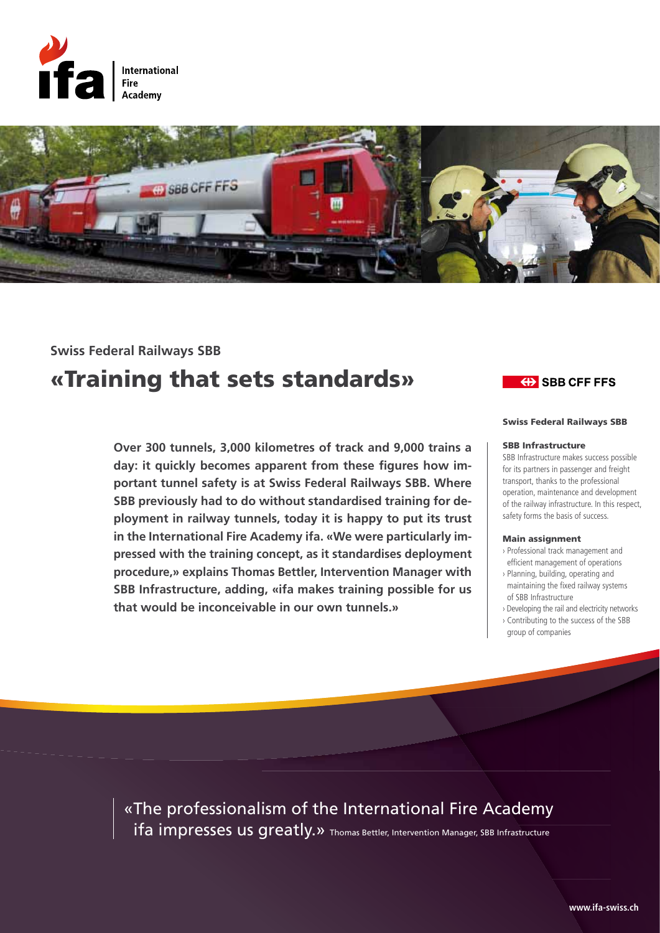



# «Training that sets standards» **Swiss Federal Railways SBB**

**Over 300 tunnels, 3,000 kilometres of track and 9,000 trains a day: it quickly becomes apparent from these figures how important tunnel safety is at Swiss Federal Railways SBB. Where SBB previously had to do without standardised training for deployment in railway tunnels, today it is happy to put its trust in the International Fire Academy ifa. «We were particularly impressed with the training concept, as it standardises deployment procedure,» explains Thomas Bettler, Intervention Manager with SBB Infrastructure, adding, «ifa makes training possible for us that would be inconceivable in our own tunnels.»**

## **EXAMPLE SHOW SHOW CONCRETE ST**

#### Swiss Federal Railways SBB

#### SBB Infrastructure

SBB Infrastructure makes success possible for its partners in passenger and freight transport, thanks to the professional operation, maintenance and development of the railway infrastructure. In this respect, safety forms the basis of success.

#### Main assignment

- › Professional track management and efficient management of operations
- › Planning, building, operating and maintaining the fixed railway systems of SBB Infrastructure
- › Developing the rail and electricity networks
- › Contributing to the success of the SBB group of companies

«The professionalism of the International Fire Academy ifa impresses us greatly.» Thomas Bettler, Intervention Manager, SBB Infrastructure